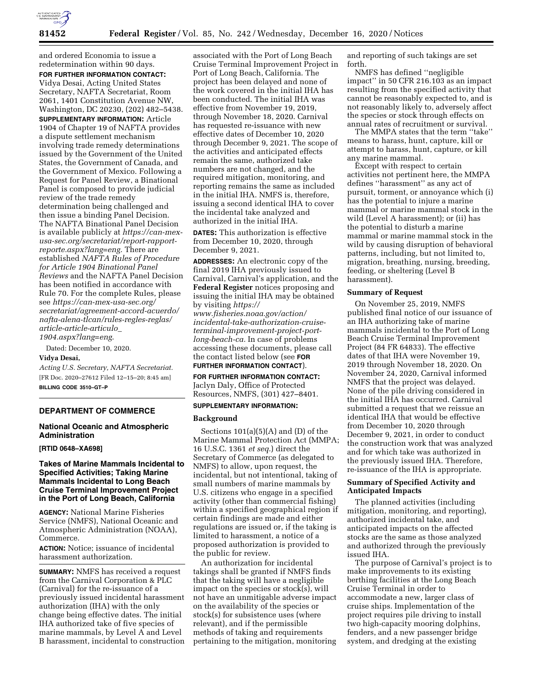

and ordered Economia to issue a redetermination within 90 days. **FOR FURTHER INFORMATION CONTACT:** 

Vidya Desai, Acting United States Secretary, NAFTA Secretariat, Room 2061, 1401 Constitution Avenue NW, Washington, DC 20230, (202) 482–5438. **SUPPLEMENTARY INFORMATION:** Article 1904 of Chapter 19 of NAFTA provides a dispute settlement mechanism involving trade remedy determinations issued by the Government of the United States, the Government of Canada, and the Government of Mexico. Following a Request for Panel Review, a Binational Panel is composed to provide judicial review of the trade remedy determination being challenged and then issue a binding Panel Decision. The NAFTA Binational Panel Decision is available publicly at *[https://can-mex](https://can-mex-usa-sec.org/secretariat/report-rapport-reporte.aspx?lang=eng)[usa-sec.org/secretariat/report-rapport](https://can-mex-usa-sec.org/secretariat/report-rapport-reporte.aspx?lang=eng)[reporte.aspx?lang=eng.](https://can-mex-usa-sec.org/secretariat/report-rapport-reporte.aspx?lang=eng)* There are established *NAFTA Rules of Procedure for Article 1904 Binational Panel Reviews* and the NAFTA Panel Decision has been notified in accordance with Rule 70. For the complete Rules, please see *[https://can-mex-usa-sec.org/](https://can-mex-usa-sec.org/secretariat/agreement-accord-acuerdo/nafta-alena-tlcan/rules-regles-reglas/article-article-articulo_1904.aspx?lang=eng)  [secretariat/agreement-accord-acuerdo/](https://can-mex-usa-sec.org/secretariat/agreement-accord-acuerdo/nafta-alena-tlcan/rules-regles-reglas/article-article-articulo_1904.aspx?lang=eng)  [nafta-alena-tlcan/rules-regles-reglas/](https://can-mex-usa-sec.org/secretariat/agreement-accord-acuerdo/nafta-alena-tlcan/rules-regles-reglas/article-article-articulo_1904.aspx?lang=eng)  [article-article-articulo](https://can-mex-usa-sec.org/secretariat/agreement-accord-acuerdo/nafta-alena-tlcan/rules-regles-reglas/article-article-articulo_1904.aspx?lang=eng)*\_

*[1904.aspx?lang=eng](https://can-mex-usa-sec.org/secretariat/agreement-accord-acuerdo/nafta-alena-tlcan/rules-regles-reglas/article-article-articulo_1904.aspx?lang=eng)*.

# Dated: December 10, 2020.

#### **Vidya Desai,**

*Acting U.S. Secretary, NAFTA Secretariat.*  [FR Doc. 2020–27612 Filed 12–15–20; 8:45 am] **BILLING CODE 3510–GT–P** 

# **DEPARTMENT OF COMMERCE**

# **National Oceanic and Atmospheric Administration**

#### **[RTID 0648–XA698]**

# **Takes of Marine Mammals Incidental to Specified Activities; Taking Marine Mammals Incidental to Long Beach Cruise Terminal Improvement Project in the Port of Long Beach, California**

**AGENCY:** National Marine Fisheries Service (NMFS), National Oceanic and Atmospheric Administration (NOAA), Commerce.

**ACTION:** Notice; issuance of incidental harassment authorization.

**SUMMARY:** NMFS has received a request from the Carnival Corporation & PLC (Carnival) for the re-issuance of a previously issued incidental harassment authorization (IHA) with the only change being effective dates. The initial IHA authorized take of five species of marine mammals, by Level A and Level B harassment, incidental to construction

associated with the Port of Long Beach Cruise Terminal Improvement Project in Port of Long Beach, California. The project has been delayed and none of the work covered in the initial IHA has been conducted. The initial IHA was effective from November 19, 2019, through November 18, 2020. Carnival has requested re-issuance with new effective dates of December 10, 2020 through December 9, 2021. The scope of the activities and anticipated effects remain the same, authorized take numbers are not changed, and the required mitigation, monitoring, and reporting remains the same as included in the initial IHA. NMFS is, therefore, issuing a second identical IHA to cover the incidental take analyzed and authorized in the initial IHA.

**DATES:** This authorization is effective from December 10, 2020, through December 9, 2021.

**ADDRESSES:** An electronic copy of the final 2019 IHA previously issued to Carnival, Carnival's application, and the **Federal Register** notices proposing and issuing the initial IHA may be obtained by visiting *[https://](https://www.fisheries.noaa.gov/action/incidental-take-authorization-cruise-terminal-improvement-project-port-long-beach-ca)*

*www.fisheries.noaa.gov/action/ [incidental-take-authorization-cruise](https://www.fisheries.noaa.gov/action/incidental-take-authorization-cruise-terminal-improvement-project-port-long-beach-ca)terminal-improvement-project-port[long-beach-ca.](https://www.fisheries.noaa.gov/action/incidental-take-authorization-cruise-terminal-improvement-project-port-long-beach-ca)* In case of problems accessing these documents, please call the contact listed below (see **FOR**

# **FURTHER INFORMATION CONTACT**).

**FOR FURTHER INFORMATION CONTACT:**  Jaclyn Daly, Office of Protected Resources, NMFS, (301) 427–8401.

#### **SUPPLEMENTARY INFORMATION:**

#### **Background**

Sections  $101(a)(5)(A)$  and  $(D)$  of the Marine Mammal Protection Act (MMPA; 16 U.S.C. 1361 *et seq.*) direct the Secretary of Commerce (as delegated to NMFS) to allow, upon request, the incidental, but not intentional, taking of small numbers of marine mammals by U.S. citizens who engage in a specified activity (other than commercial fishing) within a specified geographical region if certain findings are made and either regulations are issued or, if the taking is limited to harassment, a notice of a proposed authorization is provided to the public for review.

An authorization for incidental takings shall be granted if NMFS finds that the taking will have a negligible impact on the species or stock(s), will not have an unmitigable adverse impact on the availability of the species or stock(s) for subsistence uses (where relevant), and if the permissible methods of taking and requirements pertaining to the mitigation, monitoring

and reporting of such takings are set forth.

NMFS has defined ''negligible impact'' in 50 CFR 216.103 as an impact resulting from the specified activity that cannot be reasonably expected to, and is not reasonably likely to, adversely affect the species or stock through effects on annual rates of recruitment or survival.

The MMPA states that the term ''take'' means to harass, hunt, capture, kill or attempt to harass, hunt, capture, or kill any marine mammal.

Except with respect to certain activities not pertinent here, the MMPA defines ''harassment'' as any act of pursuit, torment, or annoyance which (i) has the potential to injure a marine mammal or marine mammal stock in the wild (Level A harassment); or (ii) has the potential to disturb a marine mammal or marine mammal stock in the wild by causing disruption of behavioral patterns, including, but not limited to, migration, breathing, nursing, breeding, feeding, or sheltering (Level B harassment).

### **Summary of Request**

On November 25, 2019, NMFS published final notice of our issuance of an IHA authorizing take of marine mammals incidental to the Port of Long Beach Cruise Terminal Improvement Project (84 FR 64833). The effective dates of that IHA were November 19, 2019 through November 18, 2020. On November 24, 2020, Carnival informed NMFS that the project was delayed. None of the pile driving considered in the initial IHA has occurred. Carnival submitted a request that we reissue an identical IHA that would be effective from December 10, 2020 through December 9, 2021, in order to conduct the construction work that was analyzed and for which take was authorized in the previously issued IHA. Therefore, re-issuance of the IHA is appropriate.

# **Summary of Specified Activity and Anticipated Impacts**

The planned activities (including mitigation, monitoring, and reporting), authorized incidental take, and anticipated impacts on the affected stocks are the same as those analyzed and authorized through the previously issued IHA.

The purpose of Carnival's project is to make improvements to its existing berthing facilities at the Long Beach Cruise Terminal in order to accommodate a new, larger class of cruise ships. Implementation of the project requires pile driving to install two high-capacity mooring dolphins, fenders, and a new passenger bridge system, and dredging at the existing